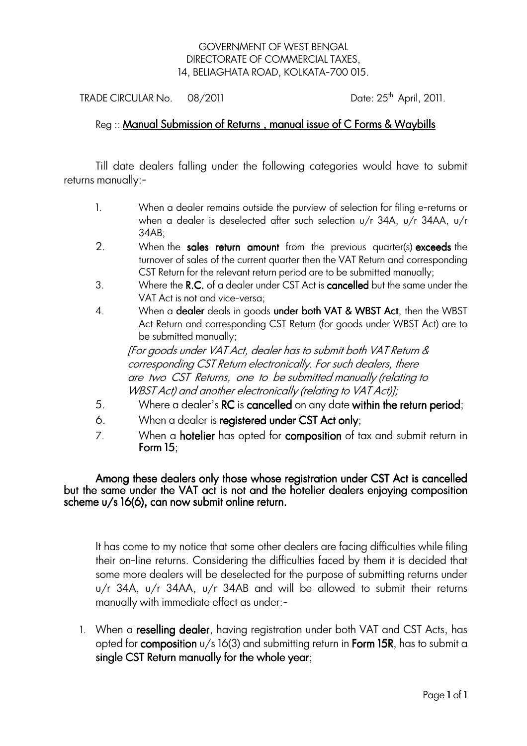## GOVERNMENT OF WEST BENGAL DIRECTORATE OF COMMERCIAL TAXES, 14, BELIAGHATA ROAD, KOLKATA-700 015.

TRADE CIRCULAR No.  $08/2011$  Date:  $25<sup>th</sup>$  April, 2011.

## Reg :: Manual Submission of Returns, manual issue of C Forms & Waybills

Till date dealers falling under the following categories would have to submit returns manually:-

- 1. When a dealer remains outside the purview of selection for filing e-returns or when a dealer is deselected after such selection u/r 34A, u/r 34AA, u/r 34AB;
- 2. When the sales return amount from the previous quarter(s) exceeds the turnover of sales of the current quarter then the VAT Return and corresponding CST Return for the relevant return period are to be submitted manually;
- 3. Where the R.C. of a dealer under CST Act is **cancelled** but the same under the VAT Act is not and vice-versa;
- 4. When a dealer deals in goods under both VAT & WBST Act, then the WBST Act Return and corresponding CST Return (for goods under WBST Act) are to be submitted manually;

 [For goods under VAT Act, dealer has to submit both VAT Return & corresponding CST Return electronically. For such dealers, there are two CST Returns, one to be submitted manually (relating to WBST Act) and another electronically (relating to VAT Act)];

- 5. Where a dealer's **RC** is **cancelled** on any date within the return period;
- 6. When a dealer is registered under CST Act only;
- 7. When a **hotelier** has opted for **composition** of tax and submit return in Form  $15$ :

Among these dealers only those whose registration under CST Act is cancelled but the same under the VAT act is not and the hotelier dealers enjoying composition scheme u/s 16(6), can now submit online return.

It has come to my notice that some other dealers are facing difficulties while filing their on-line returns. Considering the difficulties faced by them it is decided that some more dealers will be deselected for the purpose of submitting returns under u/r 34A, u/r 34AA, u/r 34AB and will be allowed to submit their returns manually with immediate effect as under:-

1. When a reselling dealer, having registration under both VAT and CST Acts, has opted for composition  $u/s$  16(3) and submitting return in Form 15R, has to submit a single CST Return manually for the whole year;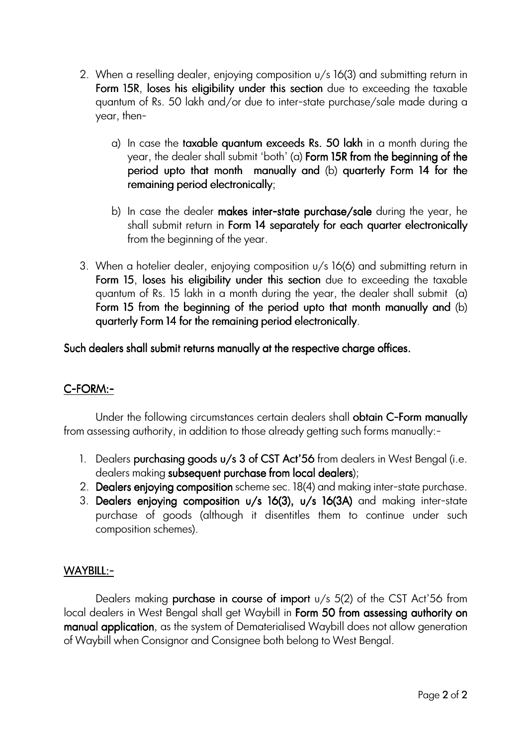- 2. When a reselling dealer, enjoying composition u/s 16(3) and submitting return in Form 15R, loses his eligibility under this section due to exceeding the taxable quantum of Rs. 50 lakh and/or due to inter-state purchase/sale made during a year, then
	- a) In case the taxable quantum exceeds Rs. 50 lakh in a month during the year, the dealer shall submit 'both' (a) Form 15R from the beginning of the period upto that month manually and (b) quarterly Form 14 for the remaining period electronically;
	- b) In case the dealer makes inter-state purchase/sale during the year, he shall submit return in Form 14 separately for each quarter electronically from the beginning of the year.
- 3. When a hotelier dealer, enjoying composition u/s 16(6) and submitting return in Form 15, loses his eligibility under this section due to exceeding the taxable quantum of Rs. 15 lakh in a month during the year, the dealer shall submit (a) Form 15 from the beginning of the period upto that month manually and  $(b)$ quarterly Form 14 for the remaining period electronically.

Such dealers shall submit returns manually at the respective charge offices.

## C-FORM:-

Under the following circumstances certain dealers shall **obtain C-Form manually** from assessing authority, in addition to those already getting such forms manually:-

- 1. Dealers purchasing goods  $u/s$  3 of CST Act'56 from dealers in West Bengal (i.e. dealers making subsequent purchase from local dealers);
- 2. Dealers enjoying composition scheme sec. 18(4) and making inter-state purchase.
- 3. Dealers enjoying composition u/s 16(3), u/s 16(3A) and making inter-state purchase of goods (although it disentitles them to continue under such composition schemes).

## WAYBILL:-

Dealers making purchase in course of import  $u/s$  5(2) of the CST Act'56 from local dealers in West Bengal shall get Waybill in Form 50 from assessing authority on manual application, as the system of Dematerialised Waybill does not allow generation of Waybill when Consignor and Consignee both belong to West Bengal.